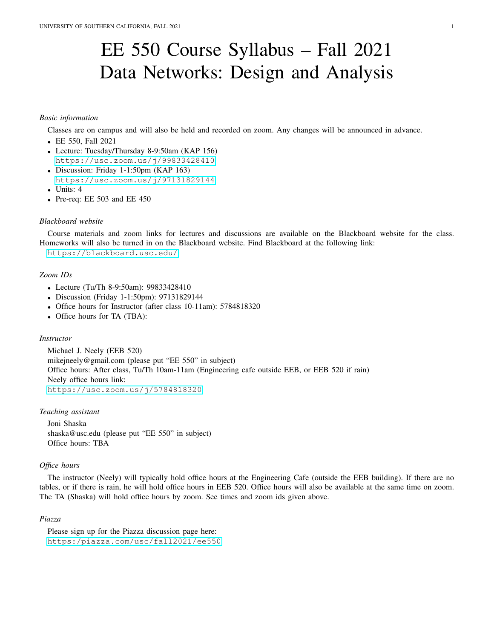# EE 550 Course Syllabus – Fall 2021 Data Networks: Design and Analysis

# *Basic information*

Classes are on campus and will also be held and recorded on zoom. Any changes will be announced in advance.

- EE 550, Fall 2021
- Lecture: Tuesday/Thursday 8-9:50am (KAP 156) <https://usc.zoom.us/j/99833428410>
- Discussion: Friday 1-1:50pm (KAP 163) <https://usc.zoom.us/j/97131829144>
- Units: 4
- Pre-req: EE 503 and EE 450

## *Blackboard website*

Course materials and zoom links for lectures and discussions are available on the Blackboard website for the class. Homeworks will also be turned in on the Blackboard website. Find Blackboard at the following link:

<https://blackboard.usc.edu/>

# *Zoom IDs*

- Lecture (Tu/Th 8-9:50am): 99833428410
- Discussion (Friday 1-1:50pm): 97131829144
- Office hours for Instructor (after class 10-11am): 5784818320
- Office hours for TA (TBA):

## *Instructor*

Michael J. Neely (EEB 520) mikejneely@gmail.com (please put "EE 550" in subject) Office hours: After class, Tu/Th 10am-11am (Engineering cafe outside EEB, or EEB 520 if rain) Neely office hours link: <https://usc.zoom.us/j/5784818320>

# *Teaching assistant*

Joni Shaska shaska@usc.edu (please put "EE 550" in subject) Office hours: TBA

## *Office hours*

The instructor (Neely) will typically hold office hours at the Engineering Cafe (outside the EEB building). If there are no tables, or if there is rain, he will hold office hours in EEB 520. Office hours will also be available at the same time on zoom. The TA (Shaska) will hold office hours by zoom. See times and zoom ids given above.

### *Piazza*

Please sign up for the Piazza discussion page here: <https:/piazza.com/usc/fall2021/ee550>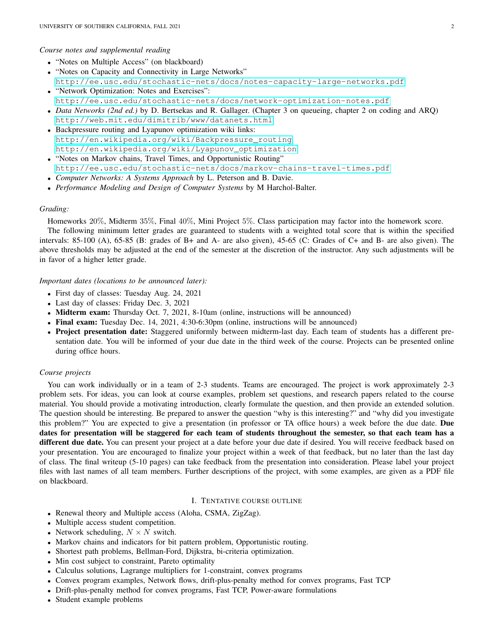#### *Course notes and supplemental reading*

- "Notes on Multiple Access" (on blackboard)
- "Notes on Capacity and Connectivity in Large Networks" <http://ee.usc.edu/stochastic-nets/docs/notes-capacity-large-networks.pdf>
- "Network Optimization: Notes and Exercises": <http://ee.usc.edu/stochastic-nets/docs/network-optimization-notes.pdf> • *Data Networks (2nd ed.)* by D. Bertsekas and R. Gallager. (Chapter 3 on queueing, chapter 2 on coding and ARQ)
- <http://web.mit.edu/dimitrib/www/datanets.html>
- Backpressure routing and Lyapunov optimization wiki links: [http://en.wikipedia.org/wiki/Backpressure\\_routing](http://en.wikipedia.org/wiki/Backpressure_routing) [http://en.wikipedia.org/wiki/Lyapunov\\_optimization](http://en.wikipedia.org/wiki/Lyapunov_optimization)
- "Notes on Markov chains, Travel Times, and Opportunistic Routing" <http://ee.usc.edu/stochastic-nets/docs/markov-chains-travel-times.pdf>
- *Computer Networks: A Systems Approach* by L. Peterson and B. Davie.
- *Performance Modeling and Design of Computer Systems* by M Harchol-Balter.

# *Grading:*

Homeworks 20%, Midterm 35%, Final 40%, Mini Project 5%. Class participation may factor into the homework score.

The following minimum letter grades are guaranteed to students with a weighted total score that is within the specified intervals: 85-100 (A), 65-85 (B: grades of B+ and A- are also given), 45-65 (C: Grades of C+ and B- are also given). The above thresholds may be adjusted at the end of the semester at the discretion of the instructor. Any such adjustments will be in favor of a higher letter grade.

*Important dates (locations to be announced later):*

- First day of classes: Tuesday Aug. 24, 2021
- Last day of classes: Friday Dec. 3, 2021
- **Midterm exam:** Thursday Oct. 7, 2021, 8-10am (online, instructions will be announced)
- Final exam: Tuesday Dec. 14, 2021, 4:30-6:30pm (online, instructions will be announced)
- Project presentation date: Staggered uniformly between midterm-last day. Each team of students has a different presentation date. You will be informed of your due date in the third week of the course. Projects can be presented online during office hours.

# *Course projects*

You can work individually or in a team of 2-3 students. Teams are encouraged. The project is work approximately 2-3 problem sets. For ideas, you can look at course examples, problem set questions, and research papers related to the course material. You should provide a motivating introduction, clearly formulate the question, and then provide an extended solution. The question should be interesting. Be prepared to answer the question "why is this interesting?" and "why did you investigate this problem?" You are expected to give a presentation (in professor or TA office hours) a week before the due date. Due dates for presentation will be staggered for each team of students throughout the semester, so that each team has a different due date. You can present your project at a date before your due date if desired. You will receive feedback based on your presentation. You are encouraged to finalize your project within a week of that feedback, but no later than the last day of class. The final writeup (5-10 pages) can take feedback from the presentation into consideration. Please label your project files with last names of all team members. Further descriptions of the project, with some examples, are given as a PDF file on blackboard.

# I. TENTATIVE COURSE OUTLINE

- Renewal theory and Multiple access (Aloha, CSMA, ZigZag).
- Multiple access student competition.
- Network scheduling,  $N \times N$  switch.
- Markov chains and indicators for bit pattern problem, Opportunistic routing.
- Shortest path problems, Bellman-Ford, Dijkstra, bi-criteria optimization.
- Min cost subject to constraint, Pareto optimality
- Calculus solutions, Lagrange multipliers for 1-constraint, convex programs
- Convex program examples, Network flows, drift-plus-penalty method for convex programs, Fast TCP
- Drift-plus-penalty method for convex programs, Fast TCP, Power-aware formulations
- Student example problems